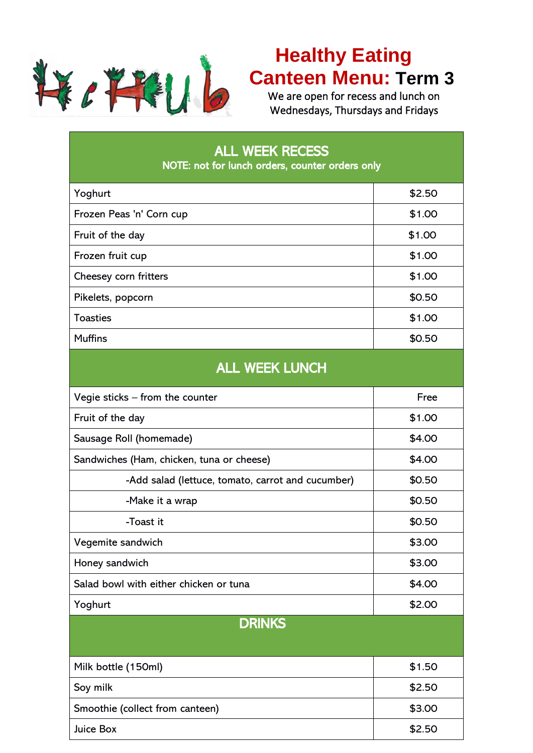

## **Healthy Eating Canteen Menu: Term 3**

We are open for recess and lunch on Wednesdays, Thursdays and Fridays

| <b>ALL WEEK RECESS</b><br>NOTE: not for lunch orders, counter orders only |        |  |  |  |  |
|---------------------------------------------------------------------------|--------|--|--|--|--|
| Yoghurt                                                                   | \$2.50 |  |  |  |  |
| Frozen Peas 'n' Corn cup                                                  | \$1.00 |  |  |  |  |
| Fruit of the day                                                          | \$1.00 |  |  |  |  |
| Frozen fruit cup                                                          | \$1.00 |  |  |  |  |
| Cheesey corn fritters                                                     | \$1.00 |  |  |  |  |
| Pikelets, popcorn                                                         | \$0.50 |  |  |  |  |
| <b>Toasties</b>                                                           | \$1.00 |  |  |  |  |
| <b>Muffins</b>                                                            | \$0.50 |  |  |  |  |
| <b>ALL WEEK LUNCH</b>                                                     |        |  |  |  |  |
| Vegie sticks – from the counter                                           | Free   |  |  |  |  |
| Fruit of the day                                                          | \$1.00 |  |  |  |  |
| Sausage Roll (homemade)                                                   | \$4.00 |  |  |  |  |
| Sandwiches (Ham, chicken, tuna or cheese)                                 | \$4.00 |  |  |  |  |
| -Add salad (lettuce, tomato, carrot and cucumber)                         | \$0.50 |  |  |  |  |
| -Make it a wrap                                                           | \$0.50 |  |  |  |  |
| -Toast it                                                                 | \$0.50 |  |  |  |  |
| Vegemite sandwich                                                         | \$3.00 |  |  |  |  |
| Honey sandwich                                                            | \$3.00 |  |  |  |  |
| Salad bowl with either chicken or tuna                                    | \$4.00 |  |  |  |  |
| Yoghurt                                                                   | \$2.00 |  |  |  |  |
| <b>DRINKS</b>                                                             |        |  |  |  |  |
| Milk bottle (150ml)                                                       | \$1.50 |  |  |  |  |
| Soy milk                                                                  | \$2.50 |  |  |  |  |
| Smoothie (collect from canteen)                                           | \$3.00 |  |  |  |  |
| Juice Box                                                                 | \$2.50 |  |  |  |  |